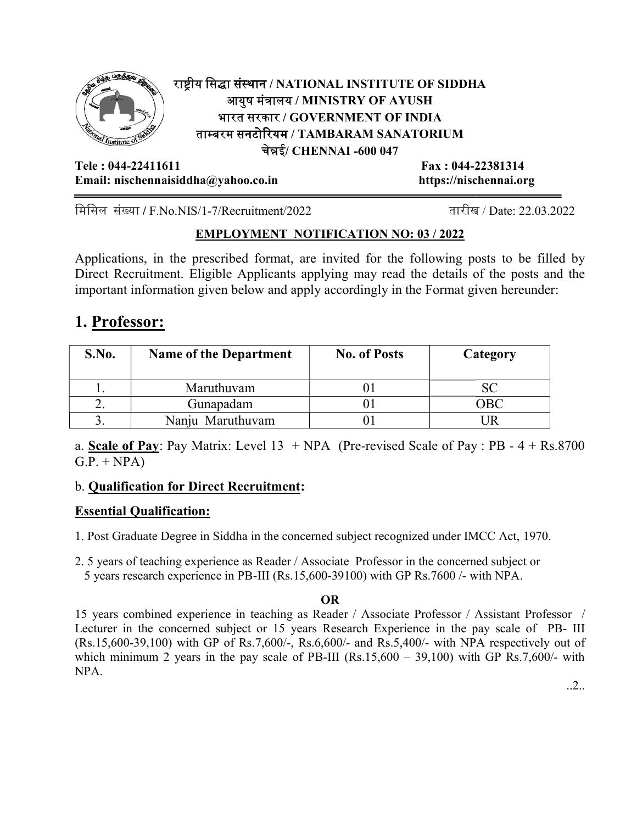

## राष्ट्रीय सिद्धा संस्थान / NATIONAL INSTITUTE OF SIDDHA आयुष मंत्रालय / MINISTRY OF AYUSH | भारत सरकार / GOVERNMENT OF INDIA ताम्बरम सनटोरियम / TAMBARAM SANATORIUM । चेन्नई/ CHENNAI -600 047 NATIONAL INSTITUTE OF SIDDHA<br>लय / MINISTRY OF AYUSH<br>र / GOVERNMENT OF INDIA<br>गम / TAMBARAM SANATORIUM<br>।<br>ई/ CHENNAI -600 047<br>Fax : 044-22381314<br>https://nischennai.org

Tele : 044-22411611 Email: nischennaisiddha@yahoo.co.in https://nischennai.org

Fax : 044-22381314

मिसिल संख्या / F.No.NIS/1-7/Recruitment/2022  $\qquad \qquad \text{and}$ 

तारीख / Date: 22.03.2022

## EMPLOYMENT NOTIFICATION NO: 03/2022

Applications, in the prescribed format, are invited for the following posts to be filled by Direct Recruitment. Eligible Applicants applying may read the details of the posts and the important information given below and apply accordingly in the Format given hereunder: important information given below and apply accordingly in the Format given

# 1. Professor:

| S.No. | <b>Name of the Department</b> | <b>No. of Posts</b> | Category |
|-------|-------------------------------|---------------------|----------|
|       | Maruthuvam                    |                     |          |
| ـ ـ   | Gunapadam                     |                     | 7BC      |
|       | Nanju Maruthuvam              |                     |          |

a. **Scale of Pay**: Pay Matrix: Level  $13 + NPA$  (Pre-revised Scale of Pay : PB -  $4 + Rs.8700$  $G.P. + NPA$ 

## b. **Qualification for Direct Recruitment:**

## Essential Qualification:

1. Post Graduate Degree in Siddha in the concerned subject recognized under IMCC Act, 1970.

2. 5 years of teaching experience as Reader / Associate Professor in the concerned subject or 5 years research experience in PB PB-III (Rs.15,600-39100) with GP Rs.7600 /- with NPA.

## OR

15 years combined experience in teaching as Reader / Associate Professor / Assistant Professor / Lecturer in the concerned subject or 15 years Research Experience in the pay scale of PB- III  $(Rs.15,600-39,100)$  with GP of Rs.7,600/-, Rs.6,600/- and Rs.5,400/- with NPA respectively out of which minimum 2 years in the pay scale of PB-III  $(Rs.15,600 - 39,100)$  with GP Rs.7,600/- with NPA.

..2..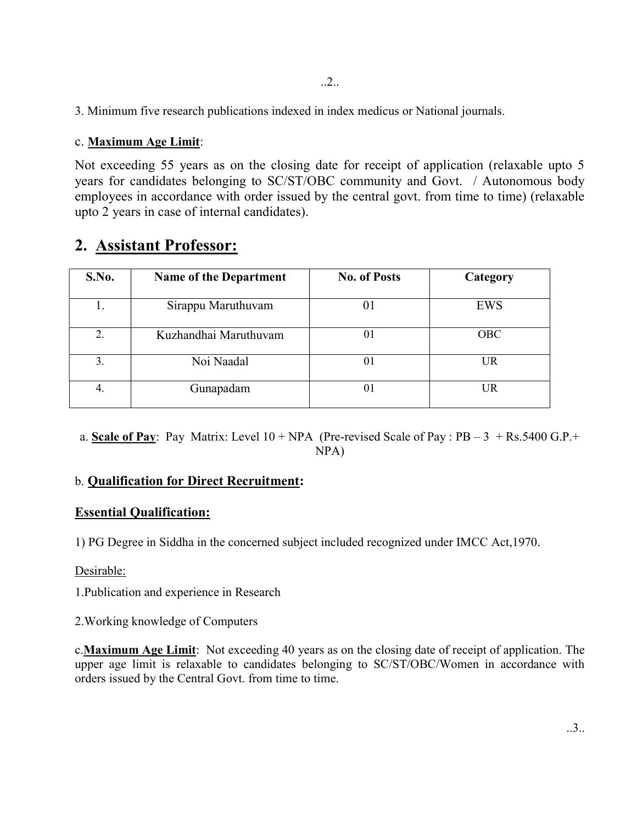3. Minimum five research publications indexed in index medicus or National journals.

### c. Maximum Age Limit:

Not exceeding 55 years as on the closing date for receipt of application (relaxable upto 5 years for candidates belonging to SC/ST/OBC community and Govt. / Autonomous body employees in accordance with order issued by the central govt. from time to time) (relaxable upto 2 years in case of internal candidates).

## 2. Assistant Professor:

| S.No. | <b>Name of the Department</b> | <b>No. of Posts</b> | Category   |
|-------|-------------------------------|---------------------|------------|
|       | Sirappu Maruthuvam            | 01                  | EWS        |
| 2.    | Kuzhandhai Maruthuvam         | 01                  | <b>OBC</b> |
| 3.    | Noi Naadal                    | 01                  | <b>UR</b>  |
| 4.    | Gunapadam                     | 01                  | <b>UR</b>  |

a. Scale of Pay: Pay Matrix: Level  $10 + NPA$  (Pre-revised Scale of Pay : PB – 3 + Rs.5400 G.P.+ NPA)

## b. Qualification for Direct Recruitment:

## Essential Qualification:

1) PG Degree in Siddha in the concerned subject included recognized under IMCC Act,1970.

#### Desirable:

1.Publication and experience in Research

2.Working knowledge of Computers

c.Maximum Age Limit: Not exceeding 40 years as on the closing date of receipt of application. The upper age limit is relaxable to candidates belonging to SC/ST/OBC/Women in accordance with orders issued by the Central Govt. from time to time.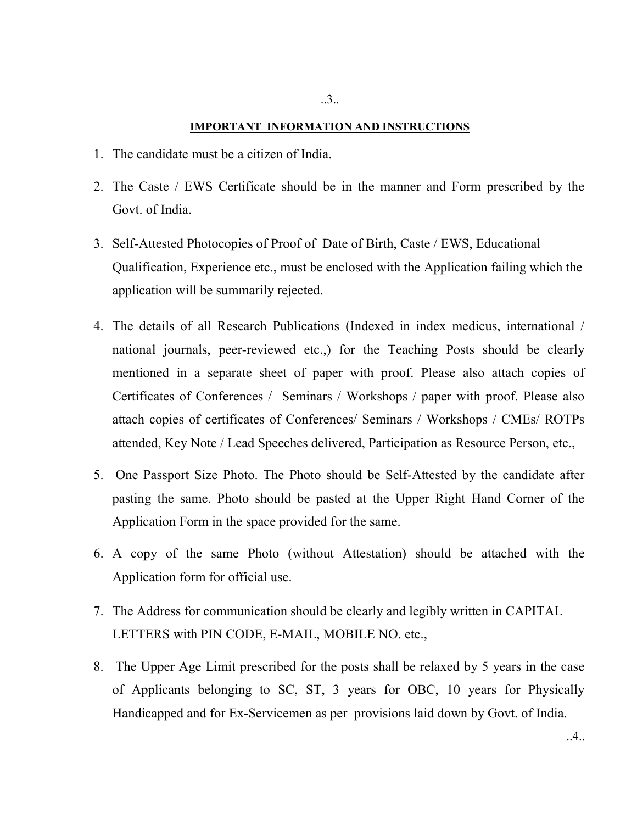#### IMPORTANT INFORMATION AND INSTRUCTIONS

- 1. The candidate must be a citizen of India.
- 2. The Caste / EWS Certificate should be in the manner and Form prescribed by the Govt. of India.
- 3. Self-Attested Photocopies of Proof of Date of Birth, Caste / EWS, Educational Qualification, Experience etc., must be enclosed with the Application failing which the application will be summarily rejected.
- 4. The details of all Research Publications (Indexed in index medicus, international / national journals, peer-reviewed etc.,) for the Teaching Posts should be clearly mentioned in a separate sheet of paper with proof. Please also attach copies of Certificates of Conferences / Seminars / Workshops / paper with proof. Please also attach copies of certificates of Conferences/ Seminars / Workshops / CMEs/ ROTPs attended, Key Note / Lead Speeches delivered, Participation as Resource Person, etc.,
- 5. One Passport Size Photo. The Photo should be Self-Attested by the candidate after pasting the same. Photo should be pasted at the Upper Right Hand Corner of the Application Form in the space provided for the same.
- 6. A copy of the same Photo (without Attestation) should be attached with the Application form for official use.
- 7. The Address for communication should be clearly and legibly written in CAPITAL LETTERS with PIN CODE, E-MAIL, MOBILE NO. etc.,
- 8. The Upper Age Limit prescribed for the posts shall be relaxed by 5 years in the case of Applicants belonging to SC, ST, 3 years for OBC, 10 years for Physically Handicapped and for Ex-Servicemen as per provisions laid down by Govt. of India.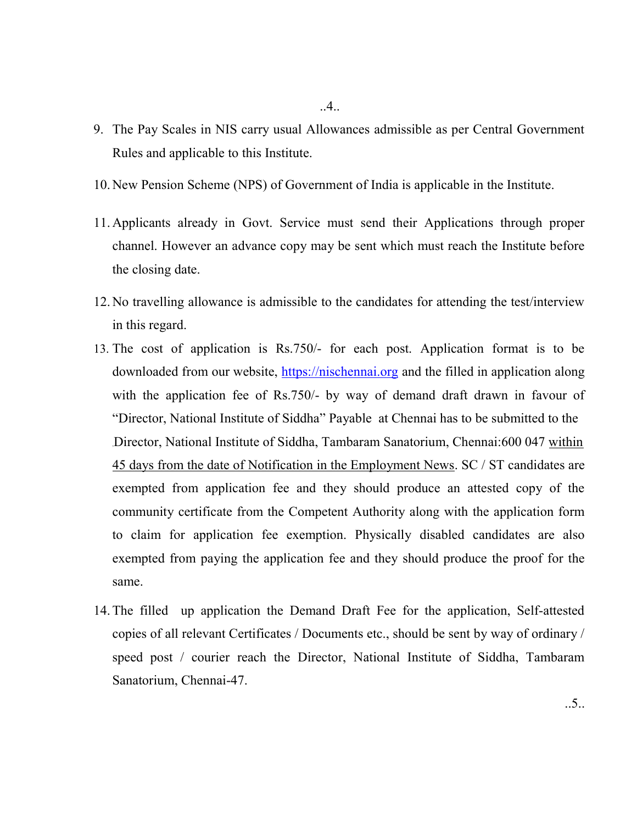- 9. The Pay Scales in NIS carry usual Allowances admissible as per Central Government Rules and applicable to this Institute.
- 10.New Pension Scheme (NPS) of Government of India is applicable in the Institute.
- 11.Applicants already in Govt. Service must send their Applications through proper channel. However an advance copy may be sent which must reach the Institute before the closing date.
- 12.No travelling allowance is admissible to the candidates for attending the test/interview in this regard.
- 13. The cost of application is Rs.750/- for each post. Application format is to be downloaded from our website, https://nischennai.org and the filled in application along with the application fee of Rs.750/- by way of demand draft drawn in favour of "Director, National Institute of Siddha" Payable at Chennai has to be submitted to the ,Director, National Institute of Siddha, Tambaram Sanatorium, Chennai:600 047 within 45 days from the date of Notification in the Employment News. SC / ST candidates are exempted from application fee and they should produce an attested copy of the community certificate from the Competent Authority along with the application form to claim for application fee exemption. Physically disabled candidates are also exempted from paying the application fee and they should produce the proof for the same.
- 14.The filled up application the Demand Draft Fee for the application, Self-attested copies of all relevant Certificates / Documents etc., should be sent by way of ordinary / speed post / courier reach the Director, National Institute of Siddha, Tambaram Sanatorium, Chennai-47.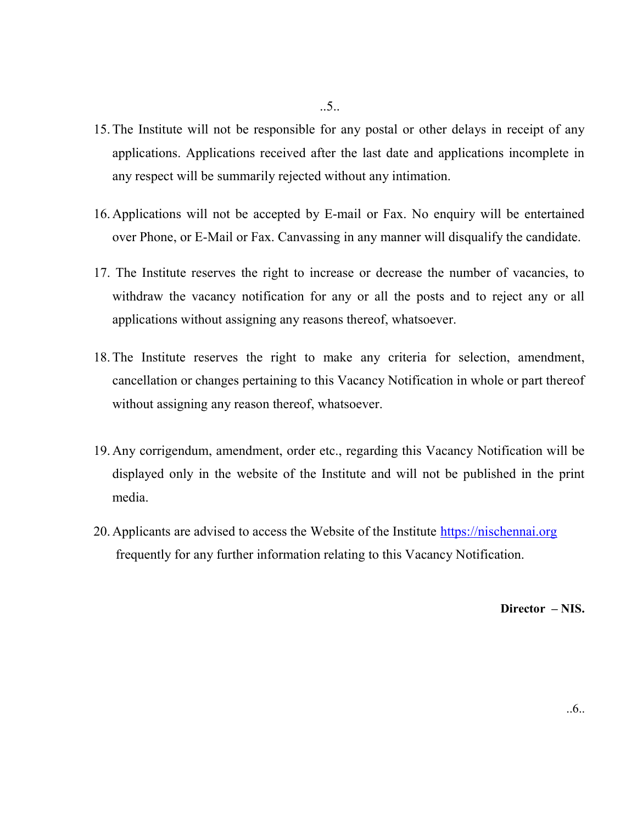- 15.The Institute will not be responsible for any postal or other delays in receipt of any applications. Applications received after the last date and applications incomplete in any respect will be summarily rejected without any intimation.
- 16.Applications will not be accepted by E-mail or Fax. No enquiry will be entertained over Phone, or E-Mail or Fax. Canvassing in any manner will disqualify the candidate.
- 17. The Institute reserves the right to increase or decrease the number of vacancies, to withdraw the vacancy notification for any or all the posts and to reject any or all applications without assigning any reasons thereof, whatsoever.
- 18.The Institute reserves the right to make any criteria for selection, amendment, cancellation or changes pertaining to this Vacancy Notification in whole or part thereof without assigning any reason thereof, whatsoever.
- 19.Any corrigendum, amendment, order etc., regarding this Vacancy Notification will be displayed only in the website of the Institute and will not be published in the print media.
- 20. Applicants are advised to access the Website of the Institute https://nischennai.org frequently for any further information relating to this Vacancy Notification.

Director – NIS.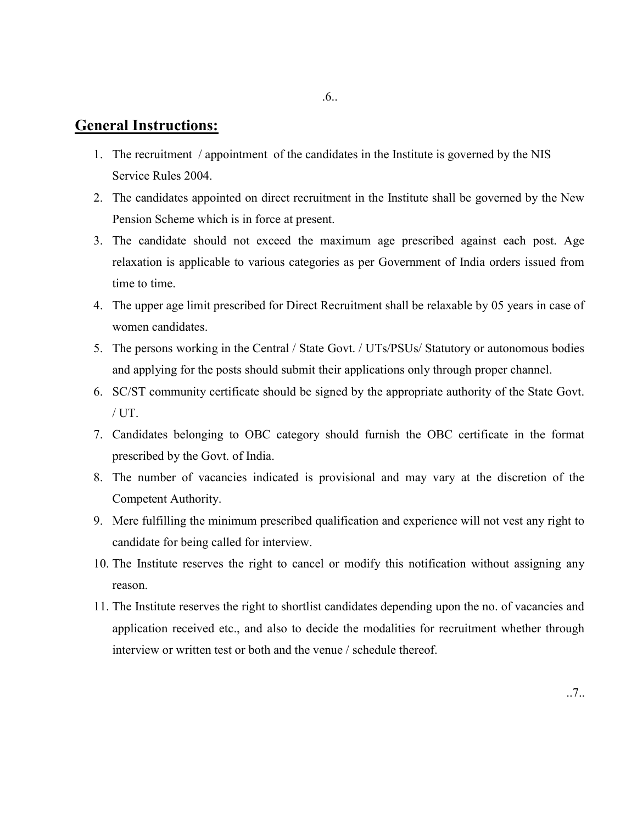## General Instructions:

- 1. The recruitment / appointment of the candidates in the Institute is governed by the NIS Service Rules 2004.
- 2. The candidates appointed on direct recruitment in the Institute shall be governed by the New Pension Scheme which is in force at present.
- 3. The candidate should not exceed the maximum age prescribed against each post. Age relaxation is applicable to various categories as per Government of India orders issued from time to time.
- 4. The upper age limit prescribed for Direct Recruitment shall be relaxable by 05 years in case of women candidates.
- 5. The persons working in the Central / State Govt. / UTs/PSUs/ Statutory or autonomous bodies and applying for the posts should submit their applications only through proper channel.
- 6. SC/ST community certificate should be signed by the appropriate authority of the State Govt. / UT.
- 7. Candidates belonging to OBC category should furnish the OBC certificate in the format prescribed by the Govt. of India.
- 8. The number of vacancies indicated is provisional and may vary at the discretion of the Competent Authority.
- 9. Mere fulfilling the minimum prescribed qualification and experience will not vest any right to candidate for being called for interview.
- 10. The Institute reserves the right to cancel or modify this notification without assigning any reason.
- 11. The Institute reserves the right to shortlist candidates depending upon the no. of vacancies and application received etc., and also to decide the modalities for recruitment whether through interview or written test or both and the venue / schedule thereof.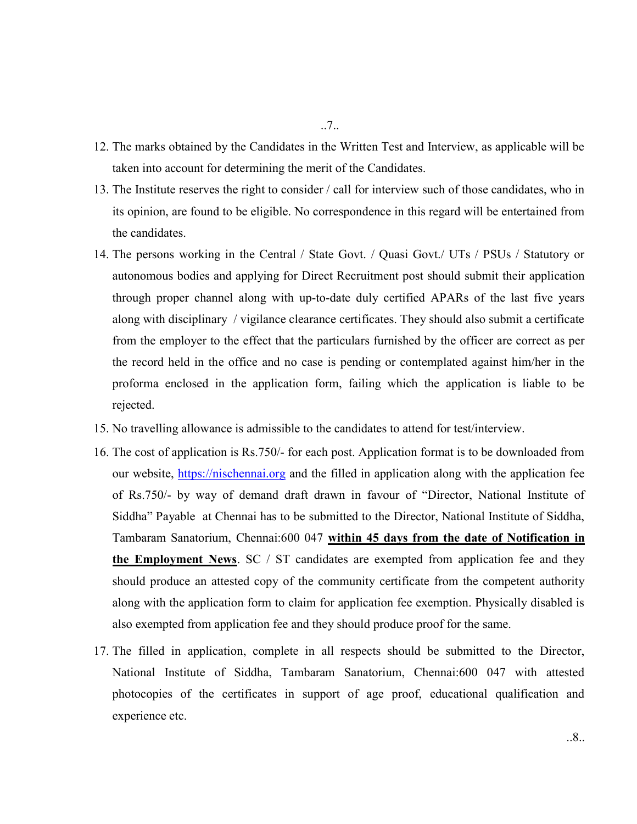- 12. The marks obtained by the Candidates in the Written Test and Interview, as applicable will be taken into account for determining the merit of the Candidates.
- 13. The Institute reserves the right to consider / call for interview such of those candidates, who in its opinion, are found to be eligible. No correspondence in this regard will be entertained from the candidates.
- 14. The persons working in the Central / State Govt. / Quasi Govt./ UTs / PSUs / Statutory or autonomous bodies and applying for Direct Recruitment post should submit their application through proper channel along with up-to-date duly certified APARs of the last five years along with disciplinary / vigilance clearance certificates. They should also submit a certificate from the employer to the effect that the particulars furnished by the officer are correct as per the record held in the office and no case is pending or contemplated against him/her in the proforma enclosed in the application form, failing which the application is liable to be rejected.
- 15. No travelling allowance is admissible to the candidates to attend for test/interview.
- 16. The cost of application is Rs.750/- for each post. Application format is to be downloaded from our website, https://nischennai.org and the filled in application along with the application fee of Rs.750/- by way of demand draft drawn in favour of "Director, National Institute of Siddha" Payable at Chennai has to be submitted to the Director, National Institute of Siddha, Tambaram Sanatorium, Chennai:600 047 within 45 days from the date of Notification in the Employment News. SC / ST candidates are exempted from application fee and they should produce an attested copy of the community certificate from the competent authority along with the application form to claim for application fee exemption. Physically disabled is also exempted from application fee and they should produce proof for the same.
- 17. The filled in application, complete in all respects should be submitted to the Director, National Institute of Siddha, Tambaram Sanatorium, Chennai:600 047 with attested photocopies of the certificates in support of age proof, educational qualification and experience etc.

..7..